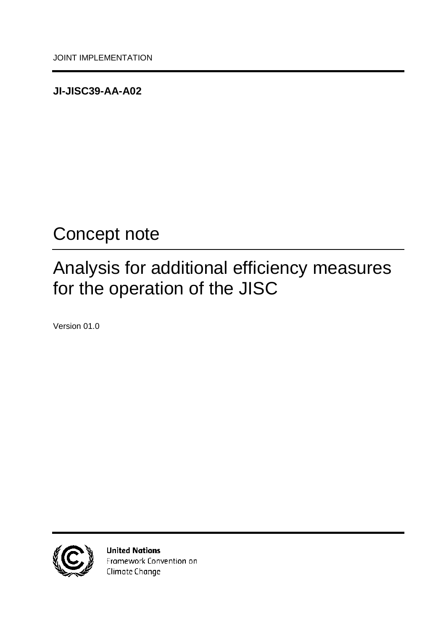<span id="page-0-0"></span>**JI-JISC39-AA-A02**

# <span id="page-0-1"></span>Concept note

# <span id="page-0-2"></span>Analysis for additional efficiency measures for the operation of the JISC

<span id="page-0-3"></span>Version 01.0



**United Nations** Framework Convention on Climate Change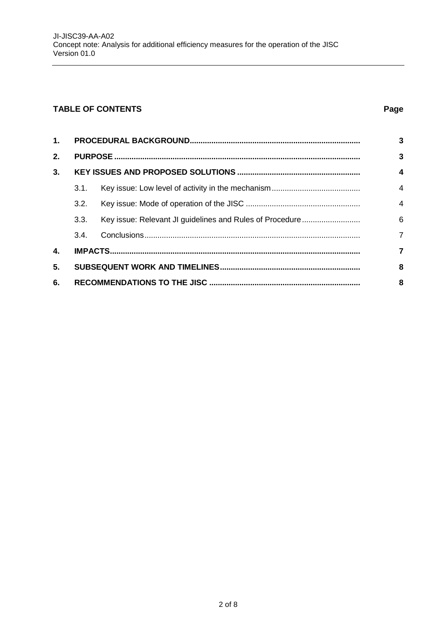### **TABLE OF CONTENTS Page**

| $\mathbf{1}$ . |      |  | 3              |
|----------------|------|--|----------------|
| 2.             |      |  |                |
| 3.             |      |  |                |
|                | 3.1. |  | $\overline{4}$ |
|                | 3.2. |  | $\overline{4}$ |
|                | 3.3. |  | 6              |
|                | 3.4. |  | $\overline{7}$ |
| 4.             |      |  | 7              |
| 5.             |      |  |                |
| 6.             |      |  |                |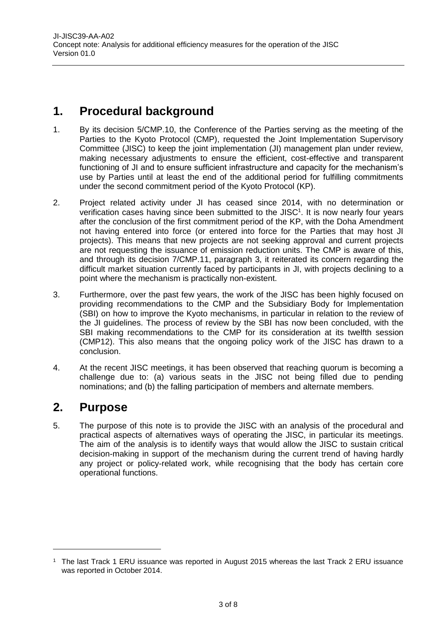# <span id="page-2-0"></span>**1. Procedural background**

- 1. By its decision 5/CMP.10, the Conference of the Parties serving as the meeting of the Parties to the Kyoto Protocol (CMP), requested the Joint Implementation Supervisory Committee (JISC) to keep the joint implementation (JI) management plan under review, making necessary adjustments to ensure the efficient, cost-effective and transparent functioning of JI and to ensure sufficient infrastructure and capacity for the mechanism's use by Parties until at least the end of the additional period for fulfilling commitments under the second commitment period of the Kyoto Protocol (KP).
- 2. Project related activity under JI has ceased since 2014, with no determination or verification cases having since been submitted to the JISC<sup>1</sup>. It is now nearly four years after the conclusion of the first commitment period of the KP, with the Doha Amendment not having entered into force (or entered into force for the Parties that may host JI projects). This means that new projects are not seeking approval and current projects are not requesting the issuance of emission reduction units. The CMP is aware of this, and through its decision 7/CMP.11, paragraph 3, it reiterated its concern regarding the difficult market situation currently faced by participants in JI, with projects declining to a point where the mechanism is practically non-existent.
- 3. Furthermore, over the past few years, the work of the JISC has been highly focused on providing recommendations to the CMP and the Subsidiary Body for Implementation (SBI) on how to improve the Kyoto mechanisms, in particular in relation to the review of the JI guidelines. The process of review by the SBI has now been concluded, with the SBI making recommendations to the CMP for its consideration at its twelfth session (CMP12). This also means that the ongoing policy work of the JISC has drawn to a conclusion.
- 4. At the recent JISC meetings, it has been observed that reaching quorum is becoming a challenge due to: (a) various seats in the JISC not being filled due to pending nominations; and (b) the falling participation of members and alternate members.

## <span id="page-2-1"></span>**2. Purpose**

 $\overline{a}$ 

5. The purpose of this note is to provide the JISC with an analysis of the procedural and practical aspects of alternatives ways of operating the JISC, in particular its meetings. The aim of the analysis is to identify ways that would allow the JISC to sustain critical decision-making in support of the mechanism during the current trend of having hardly any project or policy-related work, while recognising that the body has certain core operational functions.

<sup>1</sup> The last Track 1 ERU issuance was reported in August 2015 whereas the last Track 2 ERU issuance was reported in October 2014.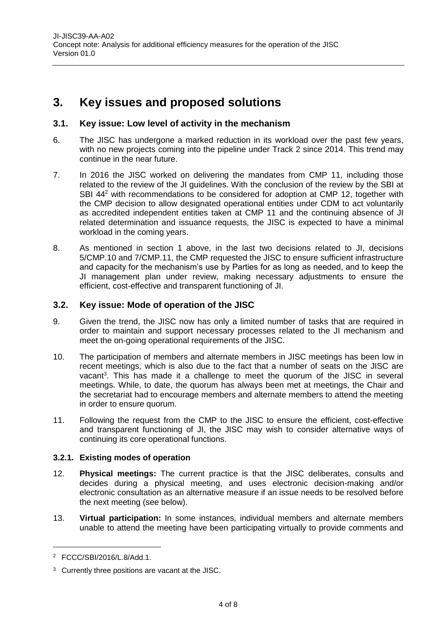# <span id="page-3-0"></span>**3. Key issues and proposed solutions**

#### <span id="page-3-1"></span>**3.1. Key issue: Low level of activity in the mechanism**

- 6. The JISC has undergone a marked reduction in its workload over the past few years, with no new projects coming into the pipeline under Track 2 since 2014. This trend may continue in the near future.
- 7. In 2016 the JISC worked on delivering the mandates from CMP 11, including those related to the review of the JI guidelines. With the conclusion of the review by the SBI at SBI 44<sup>2</sup> with recommendations to be considered for adoption at CMP 12, together with the CMP decision to allow designated operational entities under CDM to act voluntarily as accredited independent entities taken at CMP 11 and the continuing absence of JI related determination and issuance requests, the JISC is expected to have a minimal workload in the coming years.
- 8. As mentioned in section 1 above, in the last two decisions related to JI, decisions 5/CMP.10 and 7/CMP.11, the CMP requested the JISC to ensure sufficient infrastructure and capacity for the mechanism's use by Parties for as long as needed, and to keep the JI management plan under review, making necessary adjustments to ensure the efficient, cost-effective and transparent functioning of JI.

#### <span id="page-3-2"></span>**3.2. Key issue: Mode of operation of the JISC**

- 9. Given the trend, the JISC now has only a limited number of tasks that are required in order to maintain and support necessary processes related to the JI mechanism and meet the on-going operational requirements of the JISC.
- 10. The participation of members and alternate members in JISC meetings has been low in recent meetings, which is also due to the fact that a number of seats on the JISC are vacant<sup>3</sup>. This has made it a challenge to meet the quorum of the JISC in several meetings. While, to date, the quorum has always been met at meetings, the Chair and the secretariat had to encourage members and alternate members to attend the meeting in order to ensure quorum.
- 11. Following the request from the CMP to the JISC to ensure the efficient, cost-effective and transparent functioning of JI, the JISC may wish to consider alternative ways of continuing its core operational functions.

#### **3.2.1. Existing modes of operation**

- 12. **Physical meetings:** The current practice is that the JISC deliberates, consults and decides during a physical meeting, and uses electronic decision-making and/or electronic consultation as an alternative measure if an issue needs to be resolved before the next meeting (see below).
- 13. **Virtual participation:** In some instances, individual members and alternate members unable to attend the meeting have been participating virtually to provide comments and

 $\overline{a}$ 

<sup>2</sup> FCCC/SBI/2016/L.8/Add.1.

<sup>3</sup> Currently three positions are vacant at the JISC.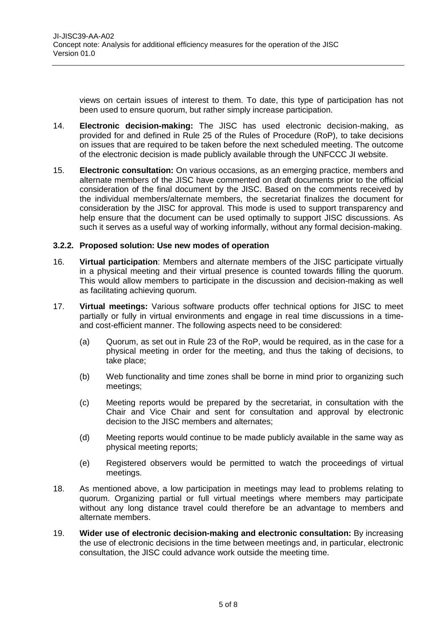views on certain issues of interest to them. To date, this type of participation has not been used to ensure quorum, but rather simply increase participation.

- 14. **Electronic decision-making:** The JISC has used electronic decision-making, as provided for and defined in Rule 25 of the Rules of Procedure (RoP), to take decisions on issues that are required to be taken before the next scheduled meeting. The outcome of the electronic decision is made publicly available through the UNFCCC JI website.
- 15. **Electronic consultation:** On various occasions, as an emerging practice, members and alternate members of the JISC have commented on draft documents prior to the official consideration of the final document by the JISC. Based on the comments received by the individual members/alternate members, the secretariat finalizes the document for consideration by the JISC for approval. This mode is used to support transparency and help ensure that the document can be used optimally to support JISC discussions. As such it serves as a useful way of working informally, without any formal decision-making.

#### **3.2.2. Proposed solution: Use new modes of operation**

- 16. **Virtual participation**: Members and alternate members of the JISC participate virtually in a physical meeting and their virtual presence is counted towards filling the quorum. This would allow members to participate in the discussion and decision-making as well as facilitating achieving quorum.
- 17. **Virtual meetings:** Various software products offer technical options for JISC to meet partially or fully in virtual environments and engage in real time discussions in a timeand cost-efficient manner. The following aspects need to be considered:
	- (a) Quorum, as set out in Rule 23 of the RoP, would be required, as in the case for a physical meeting in order for the meeting, and thus the taking of decisions, to take place;
	- (b) Web functionality and time zones shall be borne in mind prior to organizing such meetings;
	- (c) Meeting reports would be prepared by the secretariat, in consultation with the Chair and Vice Chair and sent for consultation and approval by electronic decision to the JISC members and alternates;
	- (d) Meeting reports would continue to be made publicly available in the same way as physical meeting reports;
	- (e) Registered observers would be permitted to watch the proceedings of virtual meetings.
- 18. As mentioned above, a low participation in meetings may lead to problems relating to quorum. Organizing partial or full virtual meetings where members may participate without any long distance travel could therefore be an advantage to members and alternate members.
- 19. **Wider use of electronic decision-making and electronic consultation:** By increasing the use of electronic decisions in the time between meetings and, in particular, electronic consultation, the JISC could advance work outside the meeting time.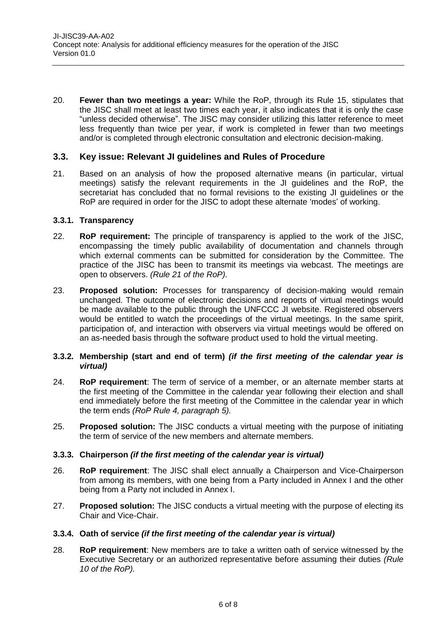20. **Fewer than two meetings a year:** While the RoP, through its Rule 15, stipulates that the JISC shall meet at least two times each year, it also indicates that it is only the case "unless decided otherwise". The JISC may consider utilizing this latter reference to meet less frequently than twice per year, if work is completed in fewer than two meetings and/or is completed through electronic consultation and electronic decision-making.

#### <span id="page-5-0"></span>**3.3. Key issue: Relevant JI guidelines and Rules of Procedure**

21. Based on an analysis of how the proposed alternative means (in particular, virtual meetings) satisfy the relevant requirements in the JI guidelines and the RoP, the secretariat has concluded that no formal revisions to the existing JI guidelines or the RoP are required in order for the JISC to adopt these alternate 'modes' of working.

#### **3.3.1. Transparency**

- 22. **RoP requirement:** The principle of transparency is applied to the work of the JISC, encompassing the timely public availability of documentation and channels through which external comments can be submitted for consideration by the Committee. The practice of the JISC has been to transmit its meetings via webcast. The meetings are open to observers. *(Rule 21 of the RoP).*
- 23. **Proposed solution:** Processes for transparency of decision-making would remain unchanged. The outcome of electronic decisions and reports of virtual meetings would be made available to the public through the UNFCCC JI website. Registered observers would be entitled to watch the proceedings of the virtual meetings. In the same spirit, participation of, and interaction with observers via virtual meetings would be offered on an as-needed basis through the software product used to hold the virtual meeting.

#### **3.3.2. Membership (start and end of term)** *(if the first meeting of the calendar year is virtual)*

- 24. **RoP requirement**: The term of service of a member, or an alternate member starts at the first meeting of the Committee in the calendar year following their election and shall end immediately before the first meeting of the Committee in the calendar year in which the term ends *(RoP Rule 4, paragraph 5).*
- 25. **Proposed solution:** The JISC conducts a virtual meeting with the purpose of initiating the term of service of the new members and alternate members.

#### **3.3.3. Chairperson** *(if the first meeting of the calendar year is virtual)*

- 26. **RoP requirement**: The JISC shall elect annually a Chairperson and Vice-Chairperson from among its members, with one being from a Party included in Annex I and the other being from a Party not included in Annex I.
- 27. **Proposed solution:** The JISC conducts a virtual meeting with the purpose of electing its Chair and Vice-Chair.

#### **3.3.4. Oath of service** *(if the first meeting of the calendar year is virtual)*

28. **RoP requirement**: New members are to take a written oath of service witnessed by the Executive Secretary or an authorized representative before assuming their duties *(Rule 10 of the RoP).*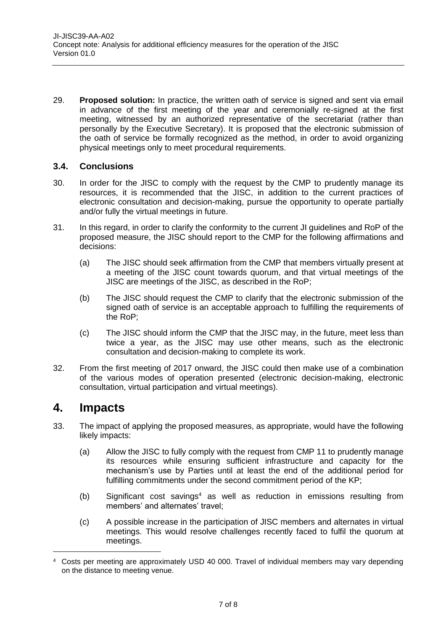29. **Proposed solution:** In practice, the written oath of service is signed and sent via email in advance of the first meeting of the year and ceremonially re-signed at the first meeting, witnessed by an authorized representative of the secretariat (rather than personally by the Executive Secretary). It is proposed that the electronic submission of the oath of service be formally recognized as the method, in order to avoid organizing physical meetings only to meet procedural requirements.

#### <span id="page-6-0"></span>**3.4. Conclusions**

- 30. In order for the JISC to comply with the request by the CMP to prudently manage its resources, it is recommended that the JISC, in addition to the current practices of electronic consultation and decision-making, pursue the opportunity to operate partially and/or fully the virtual meetings in future.
- 31. In this regard, in order to clarify the conformity to the current JI guidelines and RoP of the proposed measure, the JISC should report to the CMP for the following affirmations and decisions:
	- (a) The JISC should seek affirmation from the CMP that members virtually present at a meeting of the JISC count towards quorum, and that virtual meetings of the JISC are meetings of the JISC, as described in the RoP;
	- (b) The JISC should request the CMP to clarify that the electronic submission of the signed oath of service is an acceptable approach to fulfilling the requirements of the RoP;
	- (c) The JISC should inform the CMP that the JISC may, in the future, meet less than twice a year, as the JISC may use other means, such as the electronic consultation and decision-making to complete its work.
- 32. From the first meeting of 2017 onward, the JISC could then make use of a combination of the various modes of operation presented (electronic decision-making, electronic consultation, virtual participation and virtual meetings).

### <span id="page-6-1"></span>**4. Impacts**

 $\overline{a}$ 

- 33. The impact of applying the proposed measures, as appropriate, would have the following likely impacts:
	- (a) Allow the JISC to fully comply with the request from CMP 11 to prudently manage its resources while ensuring sufficient infrastructure and capacity for the mechanism's use by Parties until at least the end of the additional period for fulfilling commitments under the second commitment period of the KP;
	- $(b)$  Significant cost savings<sup>4</sup> as well as reduction in emissions resulting from members' and alternates' travel;
	- (c) A possible increase in the participation of JISC members and alternates in virtual meetings. This would resolve challenges recently faced to fulfil the quorum at meetings.

<sup>4</sup> Costs per meeting are approximately USD 40 000. Travel of individual members may vary depending on the distance to meeting venue.